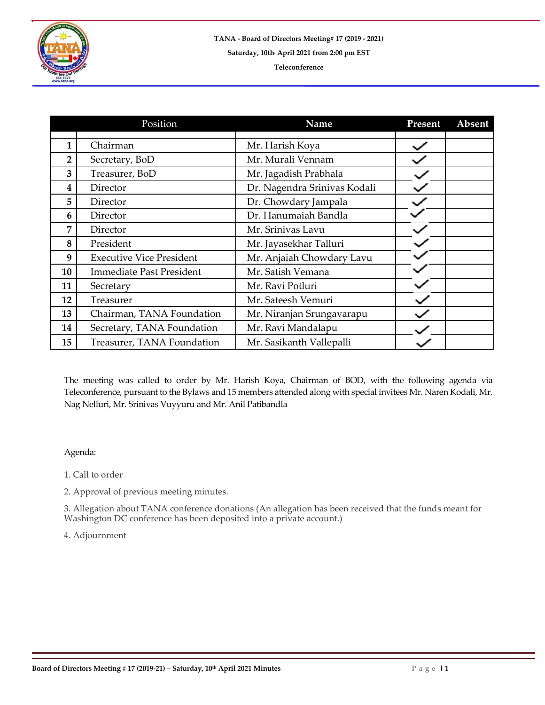

|    | Position                        | <b>Name</b>                  | Present | Absent |
|----|---------------------------------|------------------------------|---------|--------|
|    |                                 |                              |         |        |
| 1  | Chairman                        | Mr. Harish Koya              |         |        |
| 2  | Secretary, BoD                  | Mr. Murali Vennam            |         |        |
| 3  | Treasurer, BoD                  | Mr. Jagadish Prabhala        |         |        |
| 4  | Director                        | Dr. Nagendra Srinivas Kodali |         |        |
| 5  | Director                        | Dr. Chowdary Jampala         |         |        |
| 6  | Director                        | Dr. Hanumaiah Bandla         |         |        |
| 7  | Director                        | Mr. Srinivas Lavu            |         |        |
| 8  | President                       | Mr. Jayasekhar Talluri       |         |        |
| 9  | <b>Executive Vice President</b> | Mr. Anjaiah Chowdary Lavu    |         |        |
| 10 | <b>Immediate Past President</b> | Mr. Satish Vemana            |         |        |
| 11 | Secretary                       | Mr. Ravi Potluri             |         |        |
| 12 | Treasurer                       | Mr. Sateesh Vemuri           |         |        |
| 13 | Chairman, TANA Foundation       | Mr. Niranjan Srungavarapu    |         |        |
| 14 | Secretary, TANA Foundation      | Mr. Ravi Mandalapu           |         |        |
| 15 | Treasurer, TANA Foundation      | Mr. Sasikanth Vallepalli     |         |        |

The meeting was called to order by Mr. Harish Koya, Chairman of BOD, with the following agenda via Teleconference, pursuant to the Bylaws and 15 members attended along with special invitees Mr. Naren Kodali, Mr. Nag Nelluri, Mr. Srinivas Vuyyuru and Mr. Anil Patibandla

## Agenda:

1. Call to order

2. Approval of previous meeting minutes.

3. Allegation about TANA conference donations (An allegation has been received that the funds meant for Washington DC conference has been deposited into a private account.)

4. Adjournment